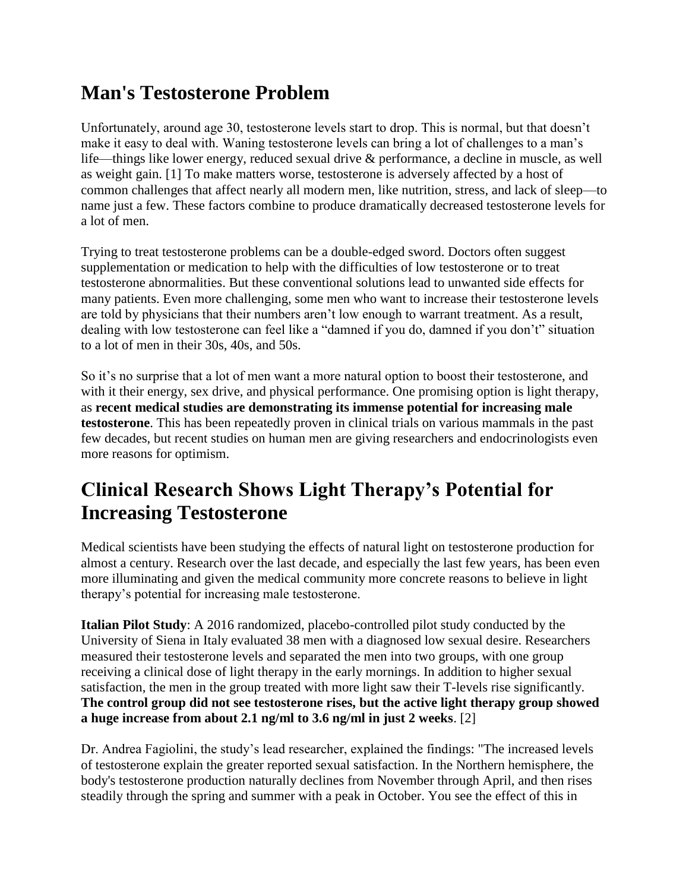#### **Man's Testosterone Problem**

Unfortunately, around age 30, testosterone levels start to drop. This is normal, but that doesn't make it easy to deal with. Waning testosterone levels can bring a lot of challenges to a man's life—things like lower energy, reduced sexual drive & performance, a decline in muscle, as well as weight gain. [1] To make matters worse, testosterone is adversely affected by a host of common challenges that affect nearly all modern men, like nutrition, stress, and lack of sleep—to name just a few. These factors combine to produce dramatically decreased testosterone levels for a lot of men.

Trying to treat testosterone problems can be a double-edged sword. Doctors often suggest supplementation or medication to help with the difficulties of low testosterone or to treat testosterone abnormalities. But these conventional solutions lead to unwanted side effects for many patients. Even more challenging, some men who want to increase their testosterone levels are told by physicians that their numbers aren't low enough to warrant treatment. As a result, dealing with low testosterone can feel like a "damned if you do, damned if you don't" situation to a lot of men in their 30s, 40s, and 50s.

So it's no surprise that a lot of men want a more natural option to boost their testosterone, and with it their energy, sex drive, and physical performance. One promising option is light therapy, as **recent medical studies are demonstrating its immense potential for increasing male testosterone**. This has been repeatedly proven in clinical trials on various mammals in the past few decades, but recent studies on human men are giving researchers and endocrinologists even more reasons for optimism.

## **Clinical Research Shows Light Therapy's Potential for Increasing Testosterone**

Medical scientists have been studying the effects of natural light on testosterone production for almost a century. Research over the last decade, and especially the last few years, has been even more illuminating and given the medical community more concrete reasons to believe in light therapy's potential for increasing male testosterone.

**Italian Pilot Study**: A 2016 randomized, placebo-controlled pilot study conducted by the University of Siena in Italy evaluated 38 men with a diagnosed low sexual desire. Researchers measured their testosterone levels and separated the men into two groups, with one group receiving a clinical dose of light therapy in the early mornings. In addition to higher sexual satisfaction, the men in the group treated with more light saw their T-levels rise significantly. **The control group did not see testosterone rises, but the active light therapy group showed a huge increase from about 2.1 ng/ml to 3.6 ng/ml in just 2 weeks**. [2]

Dr. Andrea Fagiolini, the study's lead researcher, explained the findings: "The increased levels of testosterone explain the greater reported sexual satisfaction. In the Northern hemisphere, the body's testosterone production naturally declines from November through April, and then rises steadily through the spring and summer with a peak in October. You see the effect of this in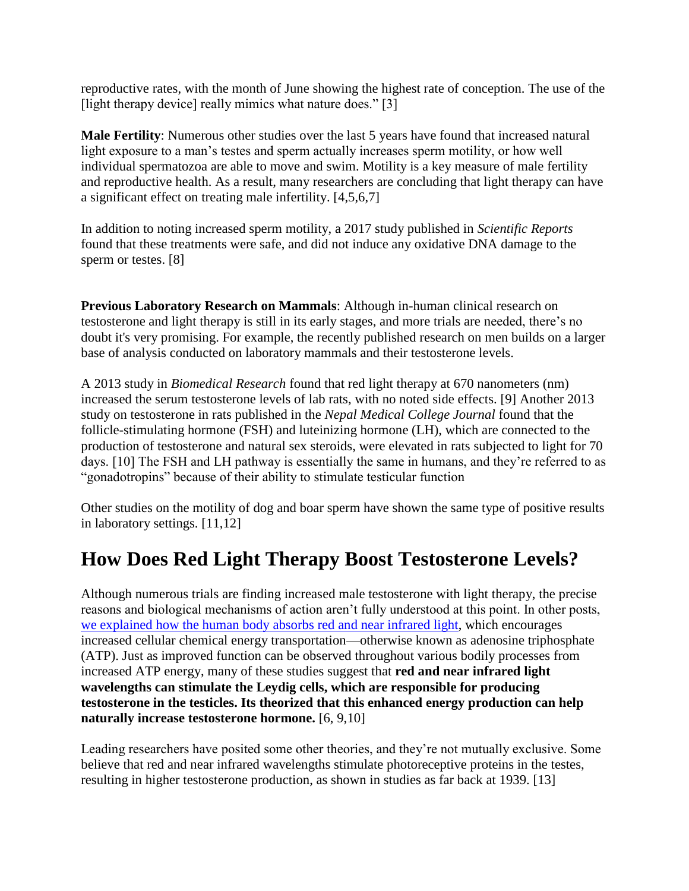reproductive rates, with the month of June showing the highest rate of conception. The use of the [light therapy device] really mimics what nature does." [3]

**Male Fertility**: Numerous other studies over the last 5 years have found that increased natural light exposure to a man's testes and sperm actually increases sperm motility, or how well individual spermatozoa are able to move and swim. Motility is a key measure of male fertility and reproductive health. As a result, many researchers are concluding that light therapy can have a significant effect on treating male infertility. [4,5,6,7]

In addition to noting increased sperm motility, a 2017 study published in *Scientific Reports* found that these treatments were safe, and did not induce any oxidative DNA damage to the sperm or testes. [8]

**Previous Laboratory Research on Mammals**: Although in-human clinical research on testosterone and light therapy is still in its early stages, and more trials are needed, there's no doubt it's very promising. For example, the recently published research on men builds on a larger base of analysis conducted on laboratory mammals and their testosterone levels.

A 2013 study in *Biomedical Research* found that red light therapy at 670 nanometers (nm) increased the serum testosterone levels of lab rats, with no noted side effects. [9] Another 2013 study on testosterone in rats published in the *Nepal Medical College Journal* found that the follicle-stimulating hormone (FSH) and luteinizing hormone (LH), which are connected to the production of testosterone and natural sex steroids, were elevated in rats subjected to light for 70 days. [10] The FSH and LH pathway is essentially the same in humans, and they're referred to as "gonadotropins" because of their ability to stimulate testicular function

Other studies on the motility of dog and boar sperm have shown the same type of positive results in laboratory settings. [11,12]

#### **How Does Red Light Therapy Boost Testosterone Levels?**

Although numerous trials are finding increased male testosterone with light therapy, the precise reasons and biological mechanisms of action aren't fully understood at this point. In other posts, [we explained how the human body absorbs red and near infrared light,](https://joovv.com/blogs/joovv-blog/how-does-red-light-therapy-work) which encourages increased cellular chemical energy transportation—otherwise known as adenosine triphosphate (ATP). Just as improved function can be observed throughout various bodily processes from increased ATP energy, many of these studies suggest that **red and near infrared light wavelengths can stimulate the Leydig cells, which are responsible for producing testosterone in the testicles. Its theorized that this enhanced energy production can help naturally increase testosterone hormone.** [6, 9,10]

Leading researchers have posited some other theories, and they're not mutually exclusive. Some believe that red and near infrared wavelengths stimulate photoreceptive proteins in the testes, resulting in higher testosterone production, as shown in studies as far back at 1939. [13]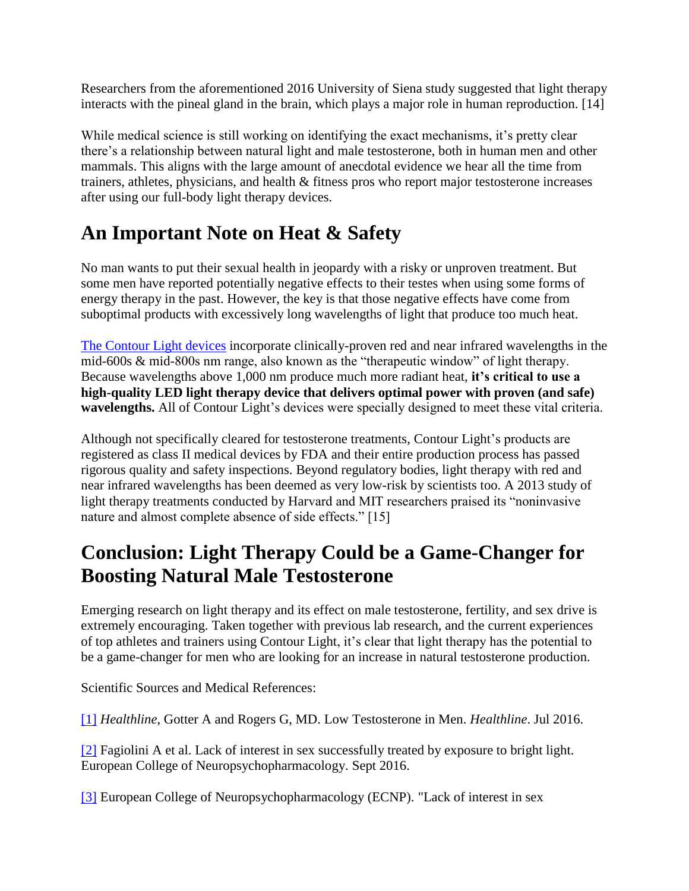Researchers from the aforementioned 2016 University of Siena study suggested that light therapy interacts with the pineal gland in the brain, which plays a major role in human reproduction. [14]

While medical science is still working on identifying the exact mechanisms, it's pretty clear there's a relationship between natural light and male testosterone, both in human men and other mammals. This aligns with the large amount of anecdotal evidence we hear all the time from trainers, athletes, physicians, and health & fitness pros who report major testosterone increases after using our full-body light therapy devices.

# **An Important Note on Heat & Safety**

No man wants to put their sexual health in jeopardy with a risky or unproven treatment. But some men have reported potentially negative effects to their testes when using some forms of energy therapy in the past. However, the key is that those negative effects have come from suboptimal products with excessively long wavelengths of light that produce too much heat.

[The Contour Light](https://joovv.com/pages/shop) devices incorporate clinically-proven red and near infrared wavelengths in the mid-600s & mid-800s nm range, also known as the "therapeutic window" of light therapy. Because wavelengths above 1,000 nm produce much more radiant heat, **it's critical to use a high-quality LED light therapy device that delivers optimal power with proven (and safe) wavelengths.** All of Contour Light's devices were specially designed to meet these vital criteria.

Although not specifically cleared for testosterone treatments, Contour Light's products are registered as class II medical devices by FDA and their entire production process has passed rigorous quality and safety inspections. Beyond regulatory bodies, light therapy with red and near infrared wavelengths has been deemed as very low-risk by scientists too. A 2013 study of light therapy treatments conducted by Harvard and MIT researchers praised its "noninvasive nature and almost complete absence of side effects." [15]

### **Conclusion: Light Therapy Could be a Game-Changer for Boosting Natural Male Testosterone**

Emerging research on light therapy and its effect on male testosterone, fertility, and sex drive is extremely encouraging. Taken together with previous lab research, and the current experiences of top athletes and trainers using Contour Light, it's clear that light therapy has the potential to be a game-changer for men who are looking for an increase in natural testosterone production.

Scientific Sources and Medical References:

[\[1\]](https://www.healthline.com/health/low-testosterone#low-testosterone) *Healthline*, Gotter A and Rogers G, MD. Low Testosterone in Men. *Healthline*. Jul 2016.

[\[2\]](https://www.sciencedaily.com/releases/2016/09/160918214443.htm) Fagiolini A et al. Lack of interest in sex successfully treated by exposure to bright light. European College of Neuropsychopharmacology. Sept 2016.

[\[3\]](https://www.alliedacademies.org/articles/the-effects-of-low-level-laser-therapy-lllt-on-the-testis-in-elevatingserum-testosterone-level-in-rats.pdf) European College of Neuropsychopharmacology (ECNP). "Lack of interest in sex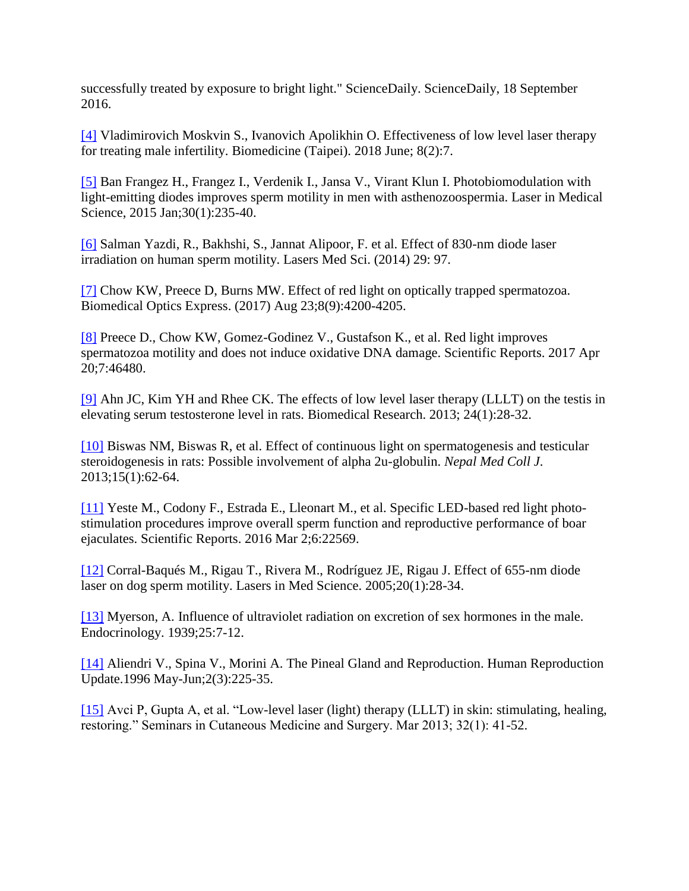successfully treated by exposure to bright light." ScienceDaily. ScienceDaily, 18 September 2016.

[\[4\]](https://www.ncbi.nlm.nih.gov/pubmed/29806585) Vladimirovich Moskvin S., Ivanovich Apolikhin O. Effectiveness of low level laser therapy for treating male infertility. Biomedicine (Taipei). 2018 June; 8(2):7.

[\[5\]](https://www.ncbi.nlm.nih.gov/pubmed/25204851) Ban Frangez H., Frangez I., Verdenik I., Jansa V., Virant Klun I. Photobiomodulation with light-emitting diodes improves sperm motility in men with asthenozoospermia. Laser in Medical Science, 2015 Jan;30(1):235-40.

[\[6\]](https://www.ncbi.nlm.nih.gov/pubmed/23407899) Salman Yazdi, R., Bakhshi, S., Jannat Alipoor, F. et al. Effect of 830-nm diode laser irradiation on human sperm motility. Lasers Med Sci. (2014) 29: 97.

[\[7\]](https://www.ncbi.nlm.nih.gov/pubmed/28966858?log%24=activity) Chow KW, Preece D, Burns MW. Effect of red light on optically trapped spermatozoa. Biomedical Optics Express. (2017) Aug 23;8(9):4200-4205.

[\[8\]](https://www.ncbi.nlm.nih.gov/pubmed/28425485) Preece D., Chow KW, Gomez-Godinez V., Gustafson K., et al. Red light improves spermatozoa motility and does not induce oxidative DNA damage. Scientific Reports. 2017 Apr 20;7:46480.

[\[9\]](https://www.alliedacademies.org/articles/the-effects-of-low-level-laser-therapy-lllt-on-the-testis-in-elevatingserum-testosterone-level-in-rats.pdf) Ahn JC, Kim YH and Rhee CK. The effects of low level laser therapy (LLLT) on the testis in elevating serum testosterone level in rats. Biomedical Research. 2013; 24(1):28-32.

[\[10\]](https://www.ncbi.nlm.nih.gov/pubmed/24592797) Biswas NM, Biswas R, et al. Effect of continuous light on spermatogenesis and testicular steroidogenesis in rats: Possible involvement of alpha 2u-globulin. *Nepal Med Coll J*. 2013;15(1):62-64.

[\[11\]](https://www.ncbi.nlm.nih.gov/pubmed/26931070) Yeste M., Codony F., Estrada E., Lleonart M., et al. Specific LED-based red light photostimulation procedures improve overall sperm function and reproductive performance of boar ejaculates. Scientific Reports. 2016 Mar 2;6:22569.

[\[12\]](https://www.ncbi.nlm.nih.gov/pubmed/15838719) Corral-Baqués M., Rigau T., Rivera M., Rodríguez JE, Rigau J. Effect of 655-nm diode laser on dog sperm motility. Lasers in Med Science. 2005;20(1):28-34.

[\[13\]](https://academic.oup.com/endo/article-abstract/25/1/7/2772602?redirectedFrom=PDF) Myerson, A. Influence of ultraviolet radiation on excretion of sex hormones in the male. Endocrinology. 1939;25:7-12.

[\[14\]](https://www.ncbi.nlm.nih.gov/pubmed/9079415) Aliendri V., Spina V., Morini A. The Pineal Gland and Reproduction. Human Reproduction Update.1996 May-Jun;2(3):225-35.

[\[15\]](https://www.ncbi.nlm.nih.gov/pubmed/24049929) Avci P, Gupta A, et al. "Low-level laser (light) therapy (LLLT) in skin: stimulating, healing, restoring." Seminars in Cutaneous Medicine and Surgery. Mar 2013; 32(1): 41-52.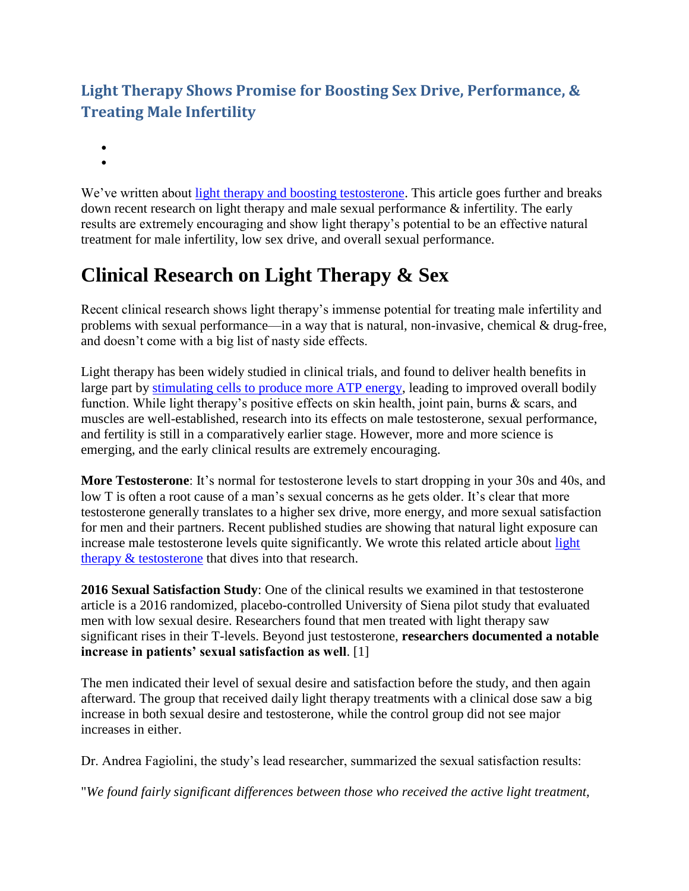#### **Light Therapy Shows Promise for Boosting Sex Drive, Performance, & Treating Male Infertility**

- $\bullet$
- $\bullet$

We've written about [light therapy and boosting testosterone.](https://joovv.com/blogs/joovv-blog/promising-evidence-red-light-therapy-increasing-testosterone) This article goes further and breaks down recent research on light therapy and male sexual performance & infertility. The early results are extremely encouraging and show light therapy's potential to be an effective natural treatment for male infertility, low sex drive, and overall sexual performance.

# **Clinical Research on Light Therapy & Sex**

Recent clinical research shows light therapy's immense potential for treating male infertility and problems with sexual performance—in a way that is natural, non-invasive, chemical & drug-free, and doesn't come with a big list of nasty side effects.

Light therapy has been widely studied in clinical trials, and found to deliver health benefits in large part by [stimulating cells to produce more ATP energy,](https://joovv.com/blogs/joovv-blog/how-red-near-infrared-light-stimulates-cellular-respiration-boosts-energy-production) leading to improved overall bodily function. While light therapy's positive effects on skin health, joint pain, burns & scars, and muscles are well-established, research into its effects on male testosterone, sexual performance, and fertility is still in a comparatively earlier stage. However, more and more science is emerging, and the early clinical results are extremely encouraging.

**More Testosterone**: It's normal for testosterone levels to start dropping in your 30s and 40s, and low T is often a root cause of a man's sexual concerns as he gets older. It's clear that more testosterone generally translates to a higher sex drive, more energy, and more sexual satisfaction for men and their partners. Recent published studies are showing that natural light exposure can increase male testosterone levels quite significantly. We wrote this related article about [light](https://joovv.com/blogs/joovv-blog/promising-evidence-red-light-therapy-increasing-testosterone)  [therapy & testosterone](https://joovv.com/blogs/joovv-blog/promising-evidence-red-light-therapy-increasing-testosterone) that dives into that research.

**2016 Sexual Satisfaction Study**: One of the clinical results we examined in that testosterone article is a 2016 randomized, placebo-controlled University of Siena pilot study that evaluated men with low sexual desire. Researchers found that men treated with light therapy saw significant rises in their T-levels. Beyond just testosterone, **researchers documented a notable increase in patients' sexual satisfaction as well**. [1]

The men indicated their level of sexual desire and satisfaction before the study, and then again afterward. The group that received daily light therapy treatments with a clinical dose saw a big increase in both sexual desire and testosterone, while the control group did not see major increases in either.

Dr. Andrea Fagiolini, the study's lead researcher, summarized the sexual satisfaction results:

"*We found fairly significant differences between those who received the active light treatment,*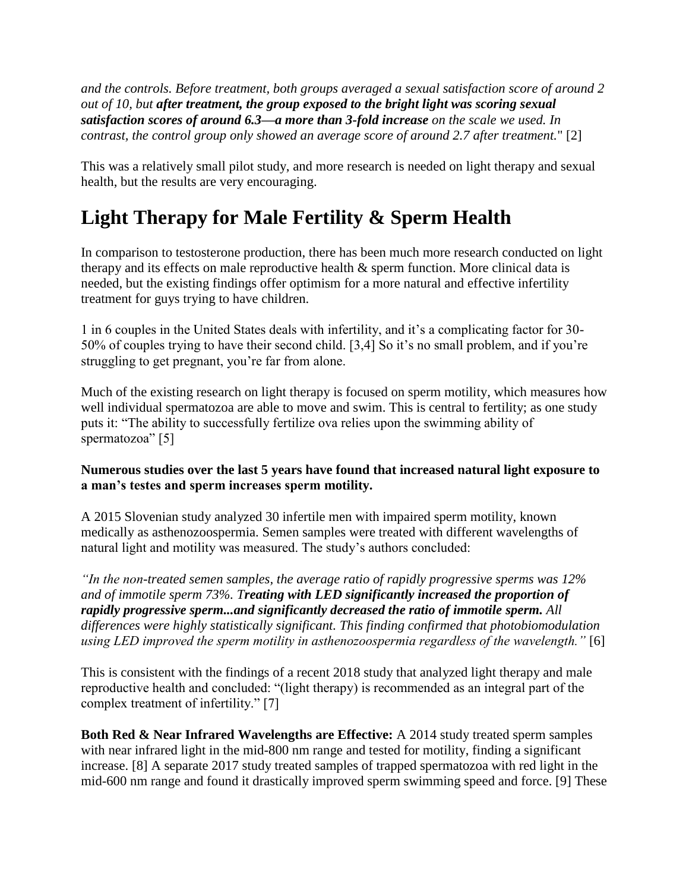*and the controls. Before treatment, both groups averaged a sexual satisfaction score of around 2 out of 10, but after treatment, the group exposed to the bright light was scoring sexual satisfaction scores of around 6.3—a more than 3-fold increase on the scale we used. In contrast, the control group only showed an average score of around 2.7 after treatment.*" [2]

This was a relatively small pilot study, and more research is needed on light therapy and sexual health, but the results are very encouraging.

# **Light Therapy for Male Fertility & Sperm Health**

In comparison to testosterone production, there has been much more research conducted on light therapy and its effects on male reproductive health & sperm function. More clinical data is needed, but the existing findings offer optimism for a more natural and effective infertility treatment for guys trying to have children.

1 in 6 couples in the United States deals with infertility, and it's a complicating factor for 30- 50% of couples trying to have their second child. [3,4] So it's no small problem, and if you're struggling to get pregnant, you're far from alone.

Much of the existing research on light therapy is focused on sperm motility, which measures how well individual spermatozoa are able to move and swim. This is central to fertility; as one study puts it: "The ability to successfully fertilize ova relies upon the swimming ability of spermatozoa" [5]

#### **Numerous studies over the last 5 years have found that increased natural light exposure to a man's testes and sperm increases sperm motility.**

A 2015 Slovenian study analyzed 30 infertile men with impaired sperm motility, known medically as asthenozoospermia. Semen samples were treated with different wavelengths of natural light and motility was measured. The study's authors concluded:

*"In the non-treated semen samples, the average ratio of rapidly progressive sperms was 12% and of immotile sperm 73%. Treating with LED significantly increased the proportion of rapidly progressive sperm...and significantly decreased the ratio of immotile sperm. All differences were highly statistically significant. This finding confirmed that photobiomodulation using LED improved the sperm motility in asthenozoospermia regardless of the wavelength."* [6]

This is consistent with the findings of a recent 2018 study that analyzed light therapy and male reproductive health and concluded: "(light therapy) is recommended as an integral part of the complex treatment of infertility." [7]

**Both Red & Near Infrared Wavelengths are Effective:** A 2014 study treated sperm samples with near infrared light in the mid-800 nm range and tested for motility, finding a significant increase. [8] A separate 2017 study treated samples of trapped spermatozoa with red light in the mid-600 nm range and found it drastically improved sperm swimming speed and force. [9] These